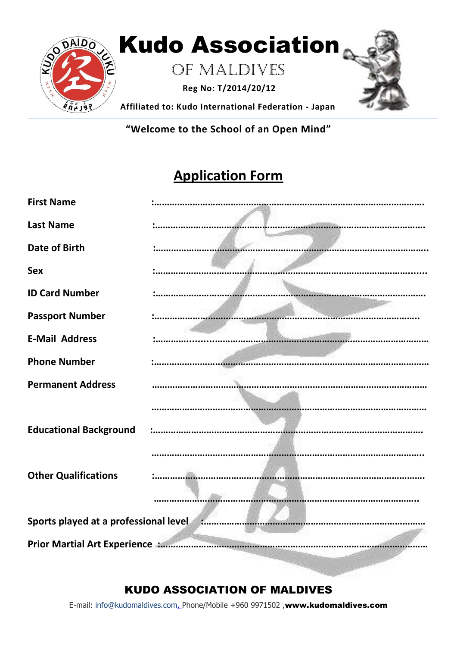

**"Welcome to the School of an Open Mind"**

## **Application Form**

| <b>First Name</b>                       |  |
|-----------------------------------------|--|
| <b>Last Name</b>                        |  |
| <b>Date of Birth</b>                    |  |
| <b>Sex</b>                              |  |
| <b>ID Card Number</b>                   |  |
| <b>Passport Number</b>                  |  |
| <b>E-Mail Address</b>                   |  |
| <b>Phone Number</b>                     |  |
| <b>Permanent Address</b>                |  |
| <b>Educational Background</b>           |  |
| <b>Other Qualifications</b>             |  |
| Sports played at a professional level : |  |
|                                         |  |

## KUDO ASSOCIATION OF MALDIVES

E-mail: info@kudomaldives.com, Phone/Mobile +960 9971502, www.kudomaldives.com